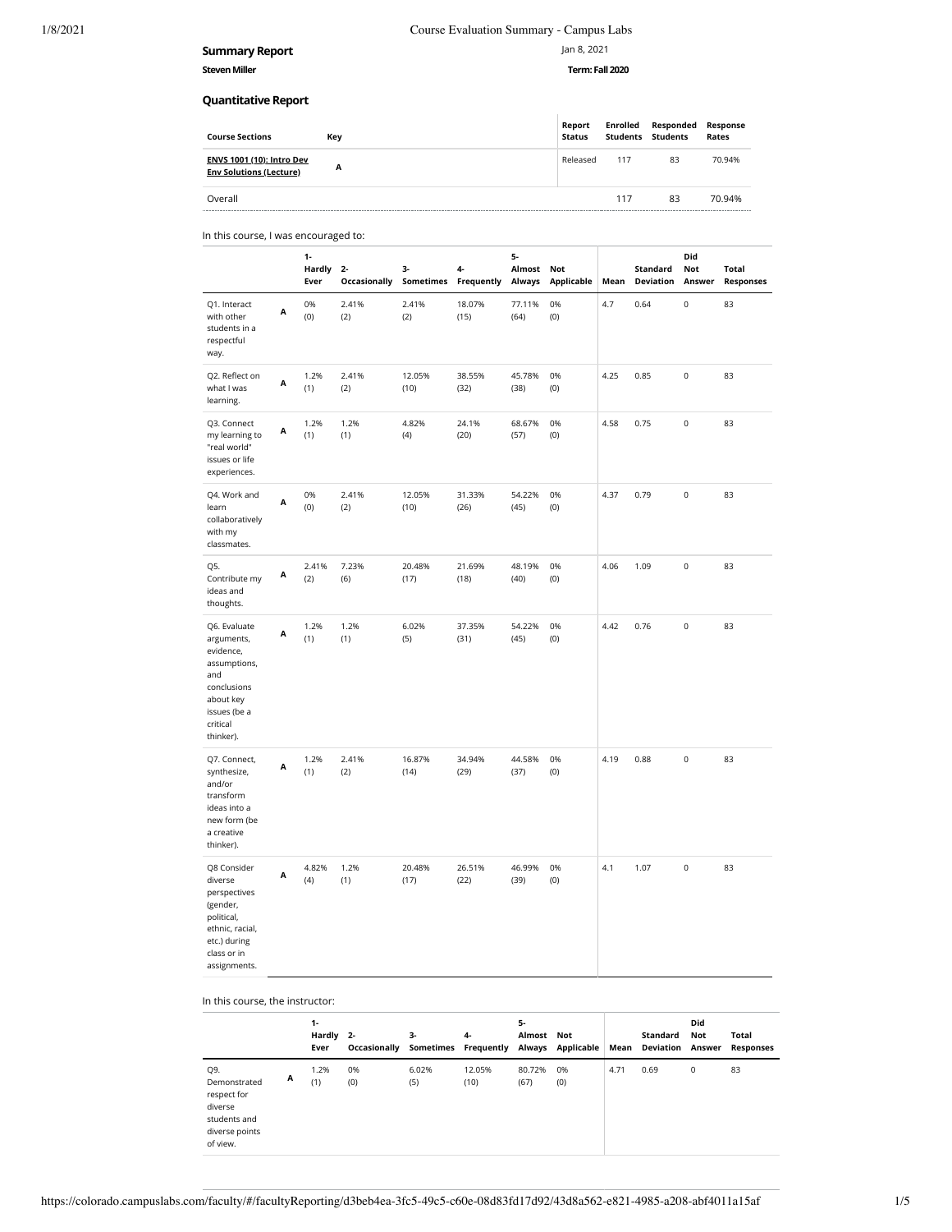1/8/2021 Course Evaluation Summary - Campus Labs

**Summary Report** Jan 8, 2021

**StevenMiller Term:Fall2020**

# **Quantitative Report**

| <b>Course Sections</b><br>Key                                    | Report<br><b>Status</b> | Students | Enrolled Responded<br>Students | Response<br>Rates |
|------------------------------------------------------------------|-------------------------|----------|--------------------------------|-------------------|
| ENVS 1001 (10): Intro Dev<br>A<br><b>Env Solutions (Lecture)</b> | Released                | 117      | 83                             | 70.94%            |
| Overall                                                          |                         | 117      | 83                             | 70.94%            |

In this course, I was encouraged to:

|                                                                                                                                     |   | $1 -$<br>Hardly<br>Ever | $2-$<br>Occasionally | 3-<br><b>Sometimes</b> | 4-<br>Frequently | 5-<br>Almost<br>Always | Not<br>Applicable | Mean | Standard<br>Deviation | Did<br>Not<br>Answer | Total<br><b>Responses</b> |
|-------------------------------------------------------------------------------------------------------------------------------------|---|-------------------------|----------------------|------------------------|------------------|------------------------|-------------------|------|-----------------------|----------------------|---------------------------|
| Q1. Interact<br>with other<br>students in a<br>respectful<br>way.                                                                   | A | 0%<br>(0)               | 2.41%<br>(2)         | 2.41%<br>(2)           | 18.07%<br>(15)   | 77.11%<br>(64)         | 0%<br>(0)         | 4.7  | 0.64                  | $\mathbf 0$          | 83                        |
| Q2. Reflect on<br>what I was<br>learning.                                                                                           | A | 1.2%<br>(1)             | 2.41%<br>(2)         | 12.05%<br>(10)         | 38.55%<br>(32)   | 45.78%<br>(38)         | 0%<br>(0)         | 4.25 | 0.85                  | $\mathbf 0$          | 83                        |
| Q3. Connect<br>my learning to<br>"real world"<br>issues or life<br>experiences.                                                     | Α | 1.2%<br>(1)             | 1.2%<br>(1)          | 4.82%<br>(4)           | 24.1%<br>(20)    | 68.67%<br>(57)         | 0%<br>(0)         | 4.58 | 0.75                  | $\mathbf 0$          | 83                        |
| Q4. Work and<br>learn<br>collaboratively<br>with my<br>classmates.                                                                  | A | 0%<br>(0)               | 2.41%<br>(2)         | 12.05%<br>(10)         | 31.33%<br>(26)   | 54.22%<br>(45)         | 0%<br>(0)         | 4.37 | 0.79                  | $\mathbf 0$          | 83                        |
| Q5.<br>Contribute my<br>ideas and<br>thoughts.                                                                                      | Α | 2.41%<br>(2)            | 7.23%<br>(6)         | 20.48%<br>(17)         | 21.69%<br>(18)   | 48.19%<br>(40)         | 0%<br>(0)         | 4.06 | 1.09                  | $\mathbf 0$          | 83                        |
| Q6. Evaluate<br>arguments,<br>evidence,<br>assumptions,<br>and<br>conclusions<br>about key<br>issues (be a<br>critical<br>thinker). | A | 1.2%<br>(1)             | 1.2%<br>(1)          | 6.02%<br>(5)           | 37.35%<br>(31)   | 54.22%<br>(45)         | 0%<br>(0)         | 4.42 | 0.76                  | $\mathsf 0$          | 83                        |
| Q7. Connect,<br>synthesize,<br>and/or<br>transform<br>ideas into a<br>new form (be<br>a creative<br>thinker).                       | А | 1.2%<br>(1)             | 2.41%<br>(2)         | 16.87%<br>(14)         | 34.94%<br>(29)   | 44.58%<br>(37)         | 0%<br>(0)         | 4.19 | 0.88                  | $\mathbf 0$          | 83                        |
| Q8 Consider<br>diverse<br>perspectives<br>(gender,<br>political,<br>ethnic, racial,<br>etc.) during<br>class or in<br>assignments.  | Α | 4.82%<br>(4)            | 1.2%<br>(1)          | 20.48%<br>(17)         | 26.51%<br>(22)   | 46.99%<br>(39)         | 0%<br>(0)         | 4.1  | 1.07                  | $\mathbf 0$          | 83                        |

# In this course, the instructor:

|                                                                                                  | $1 -$<br>Hardly 2-<br>Ever | Occasionally | 3-           | $4-$<br>Sometimes Frequently Always Applicable | 5-<br>Almost Not |           | Mean | Standard<br>Deviation | Did<br><b>Not</b><br>Answer | Total<br><b>Responses</b> |
|--------------------------------------------------------------------------------------------------|----------------------------|--------------|--------------|------------------------------------------------|------------------|-----------|------|-----------------------|-----------------------------|---------------------------|
| Q9.<br>А<br>Demonstrated<br>respect for<br>diverse<br>students and<br>diverse points<br>of view. | 1.2%<br>(1)                | 0%<br>(0)    | 6.02%<br>(5) | 12.05%<br>(10)                                 | 80.72%<br>(67)   | 0%<br>(0) | 4.71 | 0.69                  | 0                           | 83                        |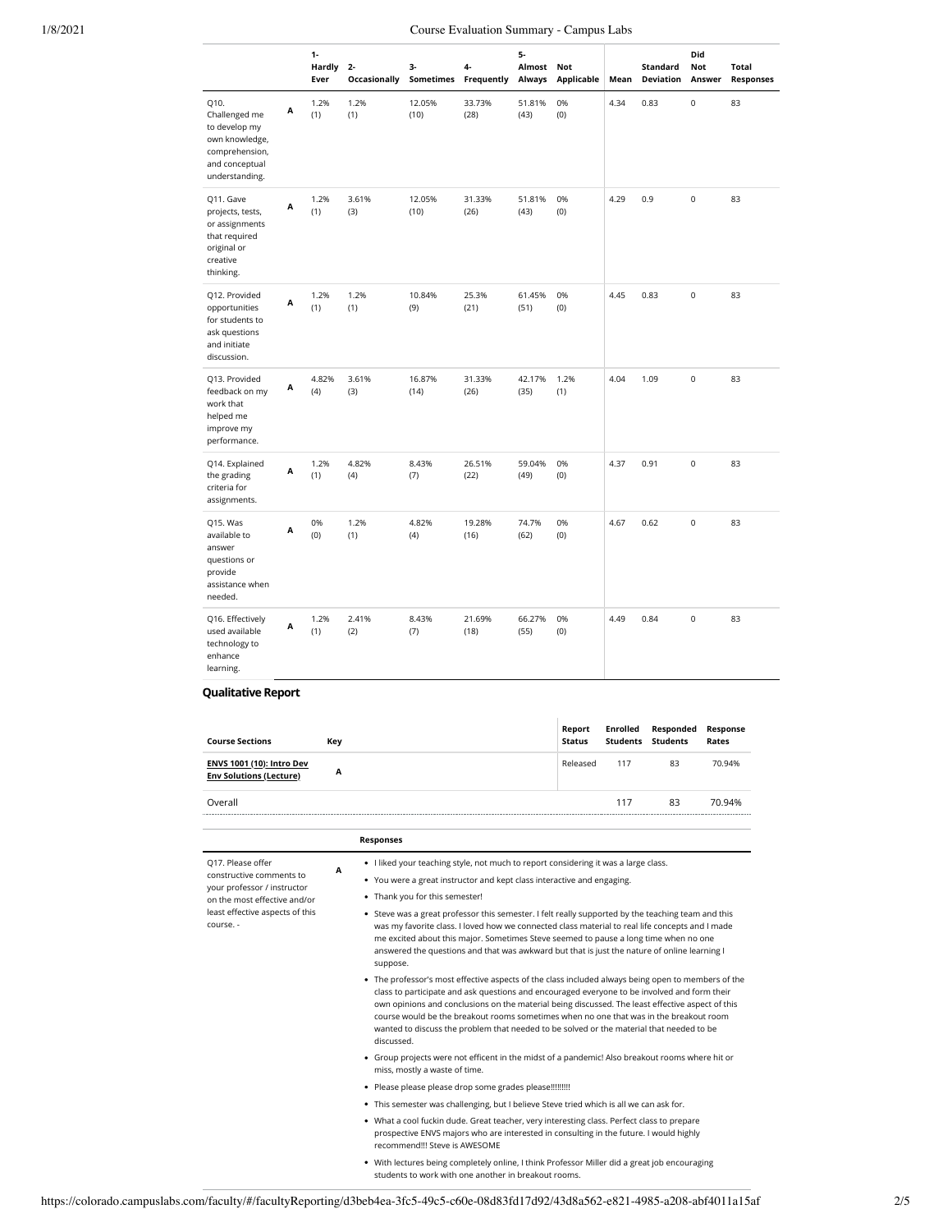# 1/8/2021 Course Evaluation Summary - Campus Labs

|                                                                                                                |   | $1-$<br>Hardly<br>Ever | $2-$<br>Occasionally | 3-<br>Sometimes | 4-<br>Frequently | 5-<br>Almost<br>Always | Not<br>Applicable | Mean | Standard<br><b>Deviation</b> | Did<br>Not<br>Answer | <b>Total</b><br><b>Responses</b> |
|----------------------------------------------------------------------------------------------------------------|---|------------------------|----------------------|-----------------|------------------|------------------------|-------------------|------|------------------------------|----------------------|----------------------------------|
| Q10.<br>Challenged me<br>to develop my<br>own knowledge,<br>comprehension,<br>and conceptual<br>understanding. | Α | 1.2%<br>(1)            | 1.2%<br>(1)          | 12.05%<br>(10)  | 33.73%<br>(28)   | 51.81%<br>(43)         | 0%<br>(0)         | 4.34 | 0.83                         | $\mathbf 0$          | 83                               |
| Q11. Gave<br>projects, tests,<br>or assignments<br>that required<br>original or<br>creative<br>thinking.       | Α | 1.2%<br>(1)            | 3.61%<br>(3)         | 12.05%<br>(10)  | 31.33%<br>(26)   | 51.81%<br>(43)         | 0%<br>(0)         | 4.29 | 0.9                          | $\mathbf 0$          | 83                               |
| Q12. Provided<br>opportunities<br>for students to<br>ask questions<br>and initiate<br>discussion.              | Α | 1.2%<br>(1)            | 1.2%<br>(1)          | 10.84%<br>(9)   | 25.3%<br>(21)    | 61.45%<br>(51)         | 0%<br>(0)         | 4.45 | 0.83                         | $\pmb{0}$            | 83                               |
| Q13. Provided<br>feedback on my<br>work that<br>helped me<br>improve my<br>performance.                        | Α | 4.82%<br>(4)           | 3.61%<br>(3)         | 16.87%<br>(14)  | 31.33%<br>(26)   | 42.17%<br>(35)         | 1.2%<br>(1)       | 4.04 | 1.09                         | $\pmb{0}$            | 83                               |
| Q14. Explained<br>the grading<br>criteria for<br>assignments.                                                  | Α | 1.2%<br>(1)            | 4.82%<br>(4)         | 8.43%<br>(7)    | 26.51%<br>(22)   | 59.04%<br>(49)         | 0%<br>(0)         | 4.37 | 0.91                         | $\mathbf 0$          | 83                               |
| Q15. Was<br>available to<br>answer<br>questions or<br>provide<br>assistance when<br>needed.                    | Α | 0%<br>(0)              | 1.2%<br>(1)          | 4.82%<br>(4)    | 19.28%<br>(16)   | 74.7%<br>(62)          | 0%<br>(0)         | 4.67 | 0.62                         | $\mathbf 0$          | 83                               |
| Q16. Effectively<br>used available<br>technology to<br>enhance<br>learning.                                    | Α | 1.2%<br>(1)            | 2.41%<br>(2)         | 8.43%<br>(7)    | 21.69%<br>(18)   | 66.27%<br>(55)         | 0%<br>(0)         | 4.49 | 0.84                         | $\mathbf 0$          | 83                               |

# **Qualitative Report**

| <b>Course Sections</b>                                      | Key | Report<br><b>Status</b> | Enrolled<br>Students | Responded<br><b>Students</b> | Response<br>Rates |
|-------------------------------------------------------------|-----|-------------------------|----------------------|------------------------------|-------------------|
| ENVS 1001 (10); Intro Dev<br><b>Env Solutions (Lecture)</b> | А   | Released                | 117                  | 83                           | 70.94%            |
| Overall                                                     |     |                         | 117                  | 83                           | 70.94%            |

**Responses**

**A**

• I liked your teaching style, not much to report considering it was a large class.

- You were a great instructor and kept class interactive and engaging.
- Thank you for this semester!

on the most effective and/or least effective aspects of this course. -

Q17. Please offer constructive comments to your professor / instructor

- Steve was a great professor this semester. I felt really supported by the teaching team and this was my favorite class. I loved how we connected class material to real life concepts and I made me excited about this major. Sometimes Steve seemed to pause a long time when no one answered the questions and that was awkward but that is just the nature of online learning I suppose.
- The professor's most effective aspects of the class included always being open to members of the class to participate and ask questions and encouraged everyone to be involved and form their own opinions and conclusions on the material being discussed. The least effective aspect of this course would be the breakout rooms sometimes when no one that was in the breakout room wanted to discuss the problem that needed to be solved or the material that needed to be discussed.
- Group projects were not efficent in the midst of a pandemic! Also breakout rooms where hit or miss, mostly a waste of time.
- Please please please drop some grades please!!!!!!!!!
- This semester was challenging, but I believe Steve tried which is all we can ask for.
- What a cool fuckin dude. Great teacher, very interesting class. Perfect class to prepare prospective ENVS majors who are interested in consulting in the future. I would highly recommend!!! Steve is AWESOME
- With lectures being completely online, I think Professor Miller did a great job encouraging students to work with one another in breakout rooms.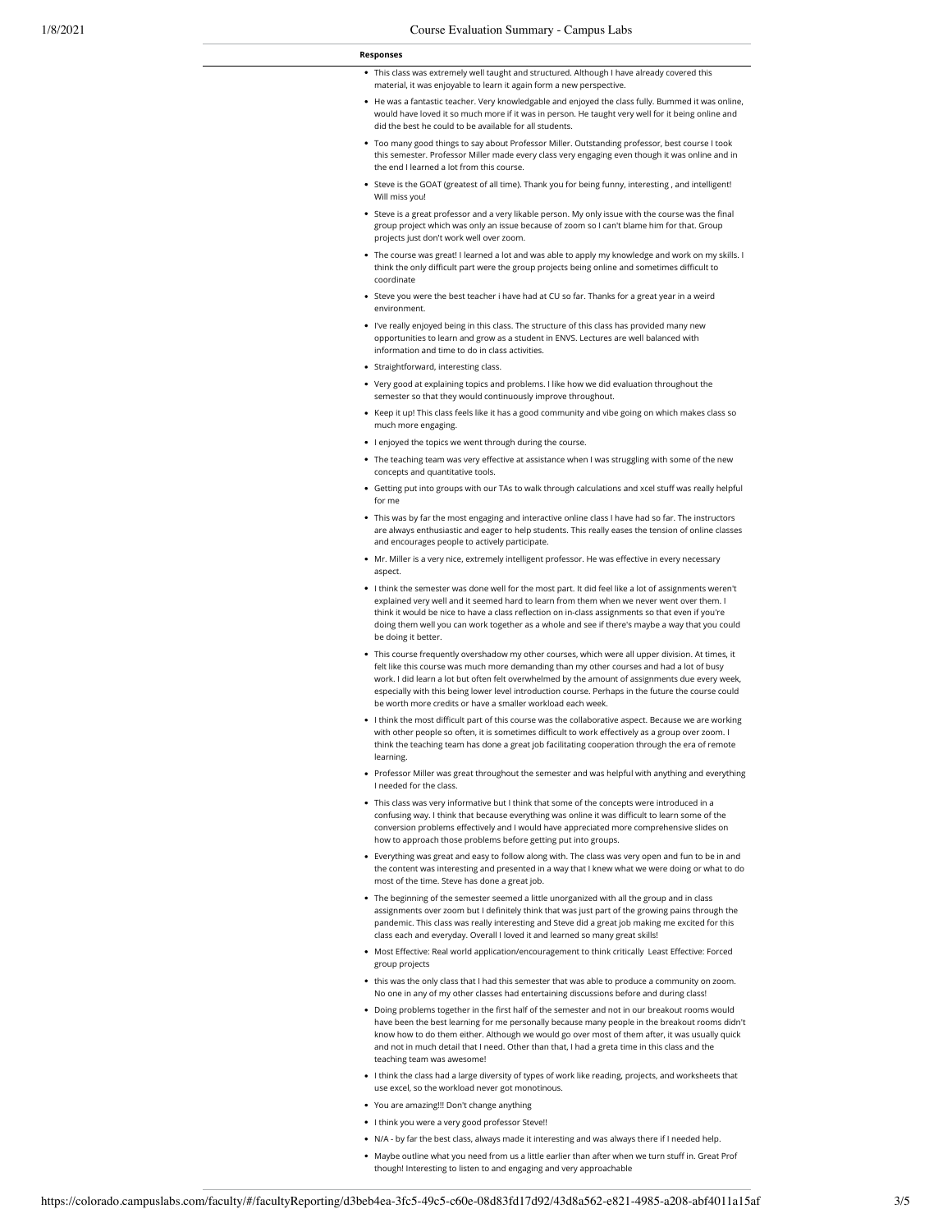#### **Responses**

- This class was extremely well taught and structured. Although I have already covered this material, it was enjoyable to learn it again form a new perspective.
- He was a fantastic teacher. Very knowledgable and enjoyed the class fully. Bummed it was online, would have loved it so much more if it was in person. He taught very well for it being online and did the best he could to be available for all students.
- Too many good things to say about Professor Miller. Outstanding professor, best course I took this semester. Professor Miller made every class very engaging even though it was online and in the end I learned a lot from this course.
- Steve is the GOAT (greatest of all time). Thank you for being funny, interesting , and intelligent! Will miss you!
- Steve is a great professor and a very likable person. My only issue with the course was the final group project which was only an issue because of zoom so I can't blame him for that. Group projects just don't work well over zoom.
- The course was great! I learned a lot and was able to apply my knowledge and work on my skills. I think the only difficult part were the group projects being online and sometimes difficult to coordinate
- Steve you were the best teacher i have had at CU so far. Thanks for a great year in a weird environment.
- I've really enjoyed being in this class. The structure of this class has provided many new opportunities to learn and grow as a student in ENVS. Lectures are well balanced with information and time to do in class activities.
- Straightforward, interesting class.
- Very good at explaining topics and problems. I like how we did evaluation throughout the semester so that they would continuously improve throughout.
- Keep it up! This class feels like it has a good community and vibe going on which makes class so much more engaging.
- I enjoyed the topics we went through during the course.
- The teaching team was very effective at assistance when I was struggling with some of the new concepts and quantitative tools.
- Getting put into groups with our TAs to walk through calculations and xcel stuff was really helpful for me
- This was by far the most engaging and interactive online class I have had so far. The instructors are always enthusiastic and eager to help students. This really eases the tension of online classes and encourages people to actively participate.
- $\bullet$  Mr. Miller is a very nice, extremely intelligent professor. He was effective in every necessary aspect.
- I think the semester was done well for the most part. It did feel like a lot of assignments weren't explained very well and it seemed hard to learn from them when we never went over them. I think it would be nice to have a class reflection on in-class assignments so that even if you're doing them well you can work together as a whole and see if there's maybe a way that you could be doing it better.
- This course frequently overshadow my other courses, which were all upper division. At times, it felt like this course was much more demanding than my other courses and had a lot of busy work. I did learn a lot but often felt overwhelmed by the amount of assignments due every week, especially with this being lower level introduction course. Perhaps in the future the course could be worth more credits or have a smaller workload each week.
- . I think the most difficult part of this course was the collaborative aspect. Because we are working with other people so often, it is sometimes difficult to work effectively as a group over zoom. I think the teaching team has done a great job facilitating cooperation through the era of remote learning.
- Professor Miller was great throughout the semester and was helpful with anything and everything I needed for the class.
- This class was very informative but I think that some of the concepts were introduced in a confusing way. I think that because everything was online it was difficult to learn some of the conversion problems effectively and I would have appreciated more comprehensive slides on how to approach those problems before getting put into groups.
- Everything was great and easy to follow along with. The class was very open and fun to be in and the content was interesting and presented in a way that I knew what we were doing or what to do most of the time. Steve has done a great job.
- The beginning of the semester seemed a little unorganized with all the group and in class assignments over zoom but I definitely think that was just part of the growing pains through the pandemic. This class was really interesting and Steve did a great job making me excited for this class each and everyday. Overall I loved it and learned so many great skills!
- Most Effective: Real world application/encouragement to think critically Least Effective: Forced group projects
- this was the only class that I had this semester that was able to produce a community on zoom. No one in any of my other classes had entertaining discussions before and during class!
- Doing problems together in the first half of the semester and not in our breakout rooms would have been the best learning for me personally because many people in the breakout rooms didn't know how to do them either. Although we would go over most of them after, it was usually quick and not in much detail that I need. Other than that, I had a greta time in this class and the teaching team was awesome!
- I think the class had a large diversity of types of work like reading, projects, and worksheets that use excel, so the workload never got monotinous.
- You are amazing!!! Don't change anything
- I think you were a very good professor Steve!!
- N/A by far the best class, always made it interesting and was always there if I needed help.
- Maybe outline what you need from us a little earlier than after when we turn stuff in. Great Prof though! Interesting to listen to and engaging and very approachable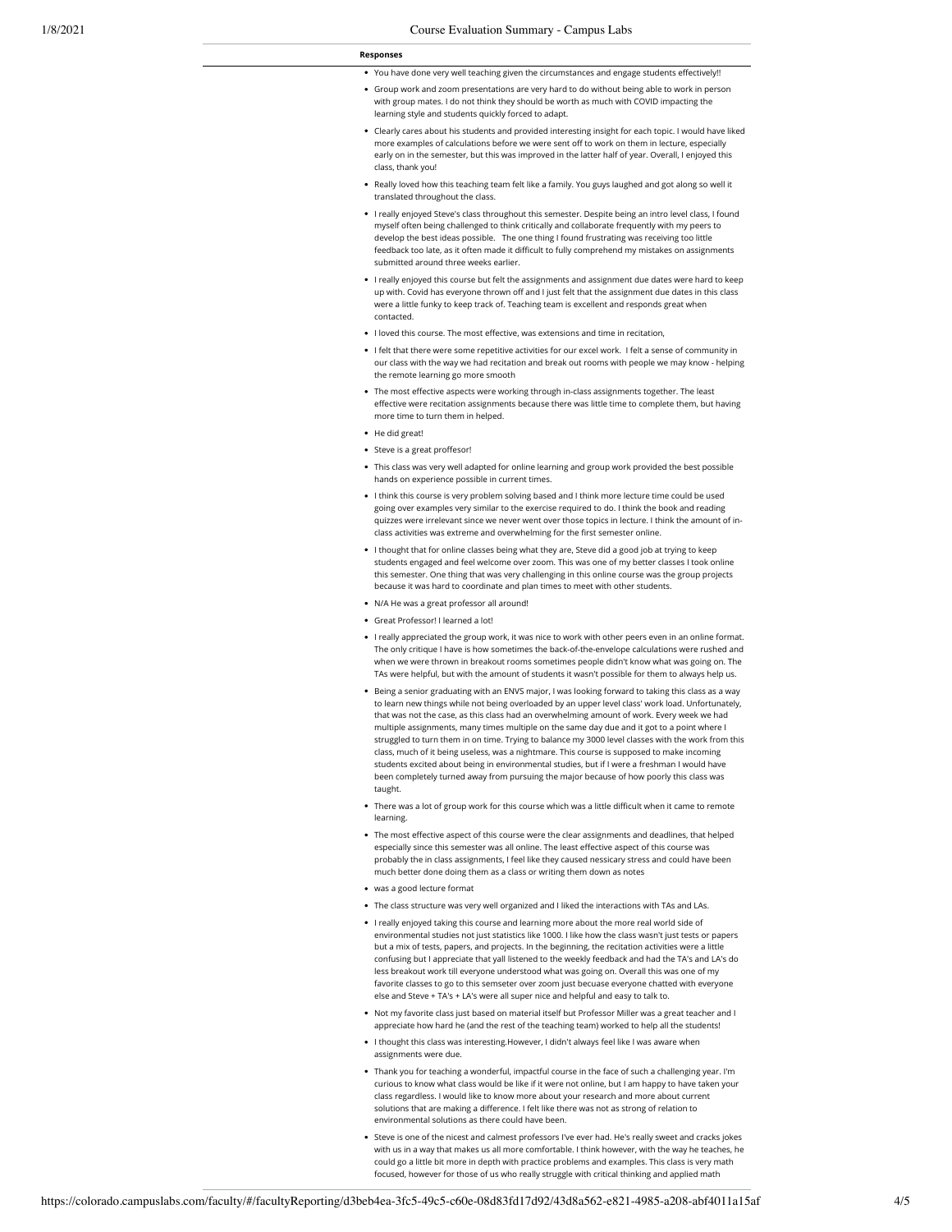### **Responses**

- You have done very well teaching given the circumstances and engage students effectively!
- Group work and zoom presentations are very hard to do without being able to work in person with group mates. I do not think they should be worth as much with COVID impacting the learning style and students quickly forced to adapt.
- Clearly cares about his students and provided interesting insight for each topic. I would have liked more examples of calculations before we were sent off to work on them in lecture, especially early on in the semester, but this was improved in the latter half of year. Overall, I enjoyed this class, thank you!
- Really loved how this teaching team felt like a family. You guys laughed and got along so well it translated throughout the class.
- I really enjoyed Steve's class throughout this semester. Despite being an intro level class, I found myself often being challenged to think critically and collaborate frequently with my peers to develop the best ideas possible. The one thing I found frustrating was receiving too little feedback too late, as it often made it difficult to fully comprehend my mistakes on assignments submitted around three weeks earlier.
- I really enjoyed this course but felt the assignments and assignment due dates were hard to keep up with. Covid has everyone thrown off and I just felt that the assignment due dates in this class were a little funky to keep track of. Teaching team is excellent and responds great when contacted.
- $\bullet$  I loved this course. The most effective, was extensions and time in recitation,
- I felt that there were some repetitive activities for our excel work. I felt a sense of community in our class with the way we had recitation and break out rooms with people we may know - helping the remote learning go more smooth
- $\bullet$  The most effective aspects were working through in-class assignments together. The least effective were recitation assignments because there was little time to complete them, but having more time to turn them in helped.
- He did great!
- Steve is a great proffesor!
- This class was very well adapted for online learning and group work provided the best possible hands on experience possible in current times.
- I think this course is very problem solving based and I think more lecture time could be used going over examples very similar to the exercise required to do. I think the book and reading quizzes were irrelevant since we never went over those topics in lecture. I think the amount of inclass activities was extreme and overwhelming for the first semester online
- I thought that for online classes being what they are, Steve did a good job at trying to keep students engaged and feel welcome over zoom. This was one of my better classes I took online this semester. One thing that was very challenging in this online course was the group projects because it was hard to coordinate and plan times to meet with other students.
- N/A He was a great professor all around!
- Great Professor! I learned a lot!
- I really appreciated the group work, it was nice to work with other peers even in an online format. The only critique I have is how sometimes the back-of-the-envelope calculations were rushed and when we were thrown in breakout rooms sometimes people didn't know what was going on. The TAs were helpful, but with the amount of students it wasn't possible for them to always help us.
- Being a senior graduating with an ENVS major, I was looking forward to taking this class as a way to learn new things while not being overloaded by an upper level class' work load. Unfortunately, that was not the case, as this class had an overwhelming amount of work. Every week we had multiple assignments, many times multiple on the same day due and it got to a point where I struggled to turn them in on time. Trying to balance my 3000 level classes with the work from this class, much of it being useless, was a nightmare. This course is supposed to make incoming students excited about being in environmental studies, but if I were a freshman I would have been completely turned away from pursuing the major because of how poorly this class was taught.
- . There was a lot of group work for this course which was a little difficult when it came to remote learning.
- $\bullet$  The most effective aspect of this course were the clear assignments and deadlines, that helped especially since this semester was all online. The least effective aspect of this course was probably the in class assignments, I feel like they caused nessicary stress and could have been much better done doing them as a class or writing them down as notes
- was a good lecture format
- The class structure was very well organized and I liked the interactions with TAs and LAs.
- I really enjoyed taking this course and learning more about the more real world side of environmental studies not just statistics like 1000. I like how the class wasn't just tests or papers but a mix of tests, papers, and projects. In the beginning, the recitation activities were a little confusing but I appreciate that yall listened to the weekly feedback and had the TA's and LA's do less breakout work till everyone understood what was going on. Overall this was one of my favorite classes to go to this semseter over zoom just becuase everyone chatted with everyone else and Steve + TA's + LA's were all super nice and helpful and easy to talk to.
- Not my favorite class just based on material itself but Professor Miller was a great teacher and I appreciate how hard he (and the rest of the teaching team) worked to help all the students!
- I thought this class was interesting.However, I didn't always feel like I was aware when assignments were due.
- Thank you for teaching a wonderful, impactful course in the face of such a challenging year. I'm curious to know what class would be like if it were not online, but I am happy to have taken your class regardless. I would like to know more about your research and more about current solutions that are making a difference. I felt like there was not as strong of relation to environmental solutions as there could have been.
- Steve is one of the nicest and calmest professors I've ever had. He's really sweet and cracks jokes with us in a way that makes us all more comfortable. I think however, with the way he teaches, he could go a little bit more in depth with practice problems and examples. This class is very math focused, however for those of us who really struggle with critical thinking and applied math